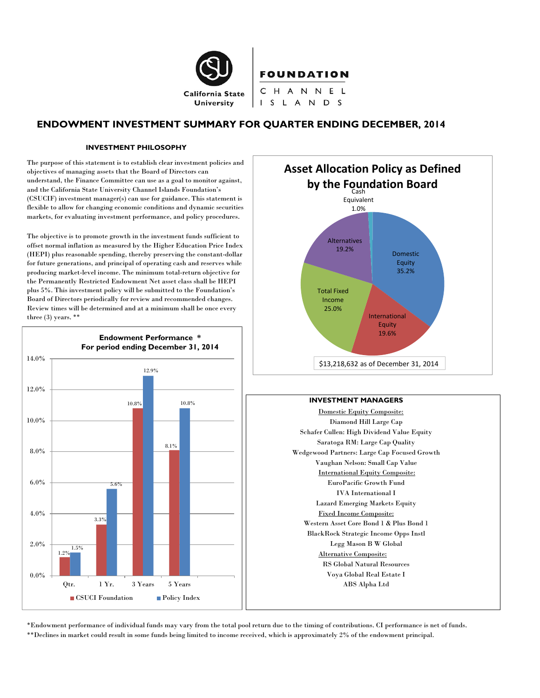

# **FOUNDATION**

CHANNEL I S L A N D S

# **ENDOWMENT INVESTMENT SUMMARY FOR QUARTER ENDING DECEMBER, 2014**

#### **INVESTMENT PHILOSOPHY**

The purpose of this statement is to establish clear investment policies and objectives of managing assets that the Board of Directors can understand, the Finance Committee can use as a goal to monitor against, and the California State University Channel Islands Foundation's (CSUCIF) investment manager(s) can use for guidance. This statement is flexible to allow for changing economic conditions and dynamic securities markets, for evaluating investment performance, and policy procedures.

The objective is to promote growth in the investment funds sufficient to offset normal inflation as measured by the Higher Education Price Index (HEPI) plus reasonable spending, thereby preserving the constant-dollar for future generations, and principal of operating cash and reserves while producing market-level income. The minimum total-return objective for the Permanently Restricted Endowment Net asset class shall be HEPI plus 5%. This investment policy will be submitted to the Foundation's Board of Directors periodically for review and recommended changes. Review times will be determined and at a minimum shall be once every three (3) years. \*\*





#### **INVESTMENT MANAGERS**

Domestic Equity Composite: Diamond Hill Large Cap Schafer Cullen: High Dividend Value Equity Saratoga RM: Large Cap Quality Wedgewood Partners: Large Cap Focused Growth Vaughan Nelson: Small Cap Value International Equity Composite: EuroPacific Growth Fund IVA International I Lazard Emerging Markets Equity Fixed Income Composite: Western Asset Core Bond 1 & Plus Bond 1 BlackRock Strategic Income Opps Instl Legg Mason B W Global Alternative Composite: RS Global Natural Resources Voya Global Real Estate I ABS Alpha Ltd

\*Endowment performance of individual funds may vary from the total pool return due to the timing of contributions. CI performance is net of funds. \*\*Declines in market could result in some funds being limited to income received, which is approximately 2% of the endowment principal.